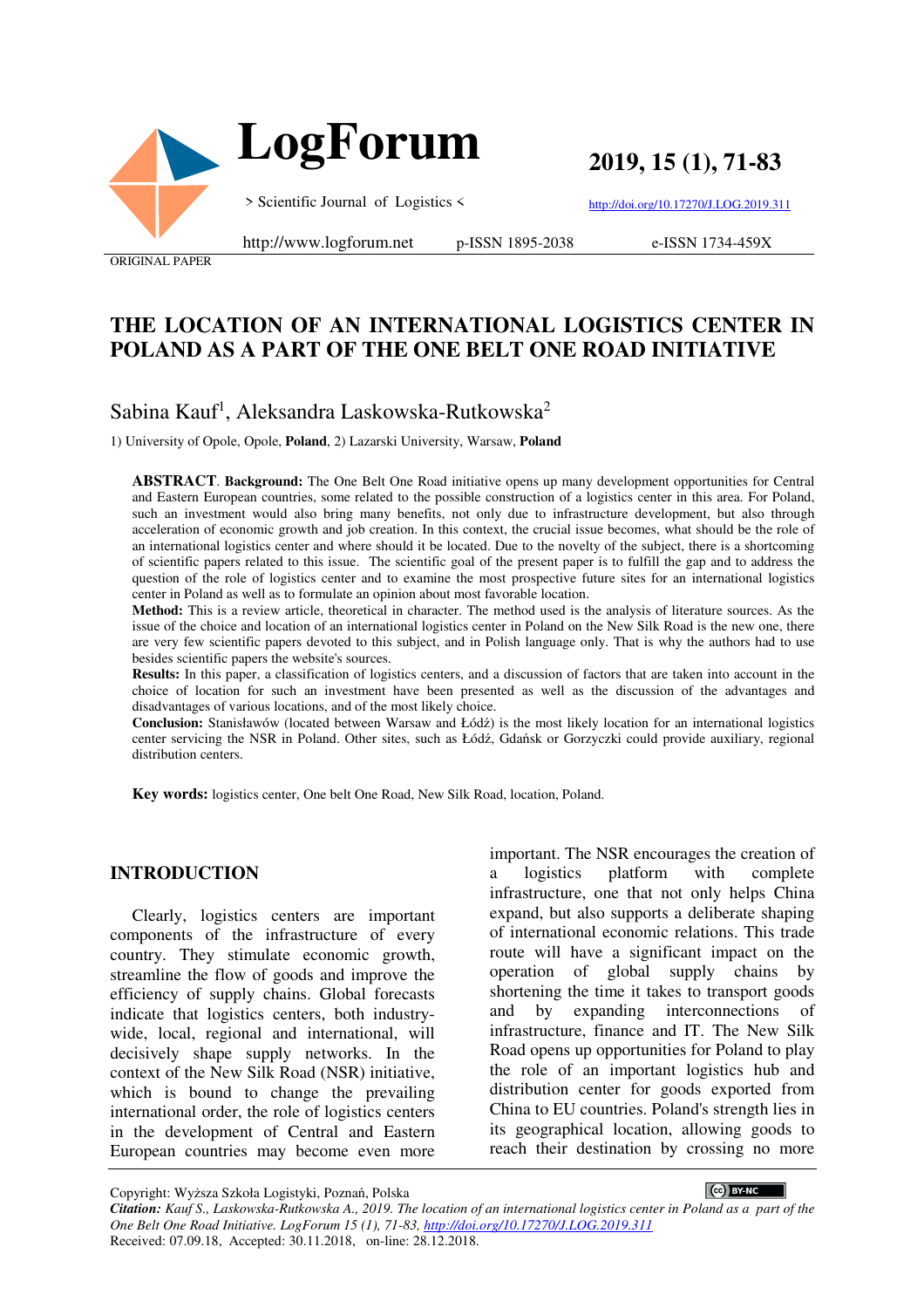

**2019, 15 (1), 71-83** 

http://doi.org/10.17270/J.LOG.2019.311

e-ISSN 1734-459X

http://www.logforum.net p-ISSN 1895-2038

ORIGINAL PAPER

# **THE LOCATION OF AN INTERNATIONAL LOGISTICS CENTER IN POLAND AS A PART OF THE ONE BELT ONE ROAD INITIATIVE**

# Sabina Kauf<sup>1</sup>, Aleksandra Laskowska-Rutkowska<sup>2</sup>

1) University of Opole, Opole, **Poland**, 2) Lazarski University, Warsaw, **Poland** 

**ABSTRACT**. **Background:** The One Belt One Road initiative opens up many development opportunities for Central and Eastern European countries, some related to the possible construction of a logistics center in this area. For Poland, such an investment would also bring many benefits, not only due to infrastructure development, but also through acceleration of economic growth and job creation. In this context, the crucial issue becomes, what should be the role of an international logistics center and where should it be located. Due to the novelty of the subject, there is a shortcoming of scientific papers related to this issue. The scientific goal of the present paper is to fulfill the gap and to address the question of the role of logistics center and to examine the most prospective future sites for an international logistics center in Poland as well as to formulate an opinion about most favorable location.

**Method:** This is a review article, theoretical in character. The method used is the analysis of literature sources. As the issue of the choice and location of an international logistics center in Poland on the New Silk Road is the new one, there are very few scientific papers devoted to this subject, and in Polish language only. That is why the authors had to use besides scientific papers the website's sources.

**Results:** In this paper, a classification of logistics centers, and a discussion of factors that are taken into account in the choice of location for such an investment have been presented as well as the discussion of the advantages and disadvantages of various locations, and of the most likely choice.

**Conclusion:** Stanisławów (located between Warsaw and Łódź) is the most likely location for an international logistics center servicing the NSR in Poland. Other sites, such as Łódź, Gdańsk or Gorzyczki could provide auxiliary, regional distribution centers.

**Key words:** logistics center, One belt One Road, New Silk Road, location, Poland.

#### **INTRODUCTION**

Clearly, logistics centers are important components of the infrastructure of every country. They stimulate economic growth, streamline the flow of goods and improve the efficiency of supply chains. Global forecasts indicate that logistics centers, both industrywide, local, regional and international, will decisively shape supply networks. In the context of the New Silk Road (NSR) initiative, which is bound to change the prevailing international order, the role of logistics centers in the development of Central and Eastern European countries may become even more

important. The NSR encourages the creation of a logistics platform with complete infrastructure, one that not only helps China expand, but also supports a deliberate shaping of international economic relations. This trade route will have a significant impact on the operation of global supply chains by shortening the time it takes to transport goods and by expanding interconnections of infrastructure, finance and IT. The New Silk Road opens up opportunities for Poland to play the role of an important logistics hub and distribution center for goods exported from China to EU countries. Poland's strength lies in its geographical location, allowing goods to reach their destination by crossing no more

Copyright: Wyższa Szkoła Logistyki, Poznań, Polska

CC BY-NC

*Citation: Kauf S., Laskowska-Rutkowska A., 2019. The location of an international logistics center in Poland as a part of the One Belt One Road Initiative. LogForum 15 (1), 71-83, http://doi.org/10.17270/J.LOG.2019.311*  Received: 07.09.18, Accepted: 30.11.2018, on-line: 28.12.2018.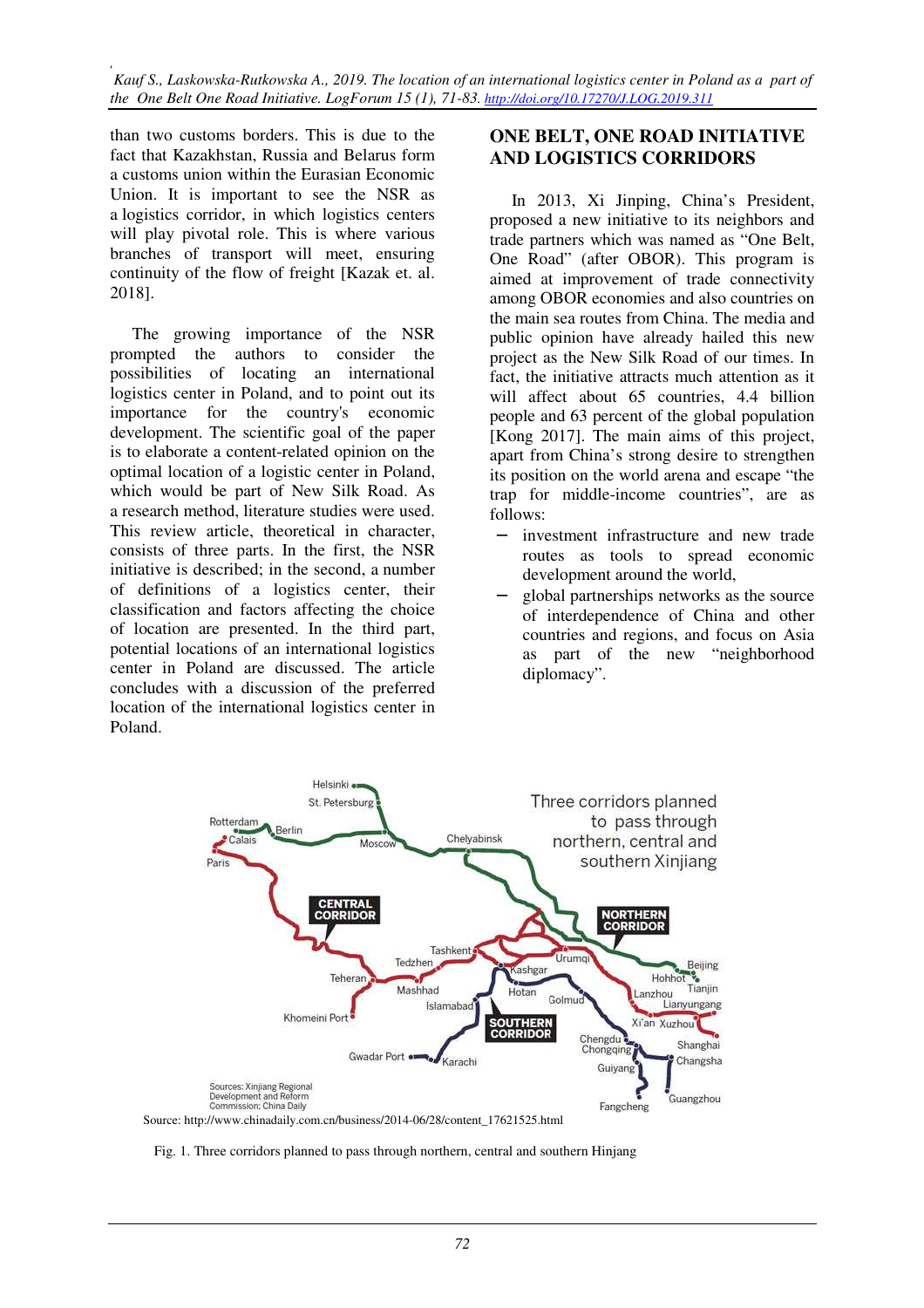than two customs borders. This is due to the fact that Kazakhstan, Russia and Belarus form a customs union within the Eurasian Economic Union. It is important to see the NSR as a logistics corridor, in which logistics centers will play pivotal role. This is where various branches of transport will meet, ensuring continuity of the flow of freight [Kazak et. al. 2018].

The growing importance of the NSR prompted the authors to consider the possibilities of locating an international logistics center in Poland, and to point out its importance for the country's economic development. The scientific goal of the paper is to elaborate a content-related opinion on the optimal location of a logistic center in Poland, which would be part of New Silk Road. As a research method, literature studies were used. This review article, theoretical in character, consists of three parts. In the first, the NSR initiative is described; in the second, a number of definitions of a logistics center, their classification and factors affecting the choice of location are presented. In the third part, potential locations of an international logistics center in Poland are discussed. The article concludes with a discussion of the preferred location of the international logistics center in Poland.

#### **ONE BELT, ONE ROAD INITIATIVE AND LOGISTICS CORRIDORS**

In 2013, Xi Jinping, China's President, proposed a new initiative to its neighbors and trade partners which was named as "One Belt, One Road" (after OBOR). This program is aimed at improvement of trade connectivity among OBOR economies and also countries on the main sea routes from China. The media and public opinion have already hailed this new project as the New Silk Road of our times. In fact, the initiative attracts much attention as it will affect about 65 countries, 4.4 billion people and 63 percent of the global population [Kong 2017]. The main aims of this project, apart from China's strong desire to strengthen its position on the world arena and escape "the trap for middle-income countries", are as follows:

- − investment infrastructure and new trade routes as tools to spread economic development around the world,
- − global partnerships networks as the source of interdependence of China and other countries and regions, and focus on Asia as part of the new "neighborhood diplomacy".



Fig. 1. Three corridors planned to pass through northern, central and southern Hinjang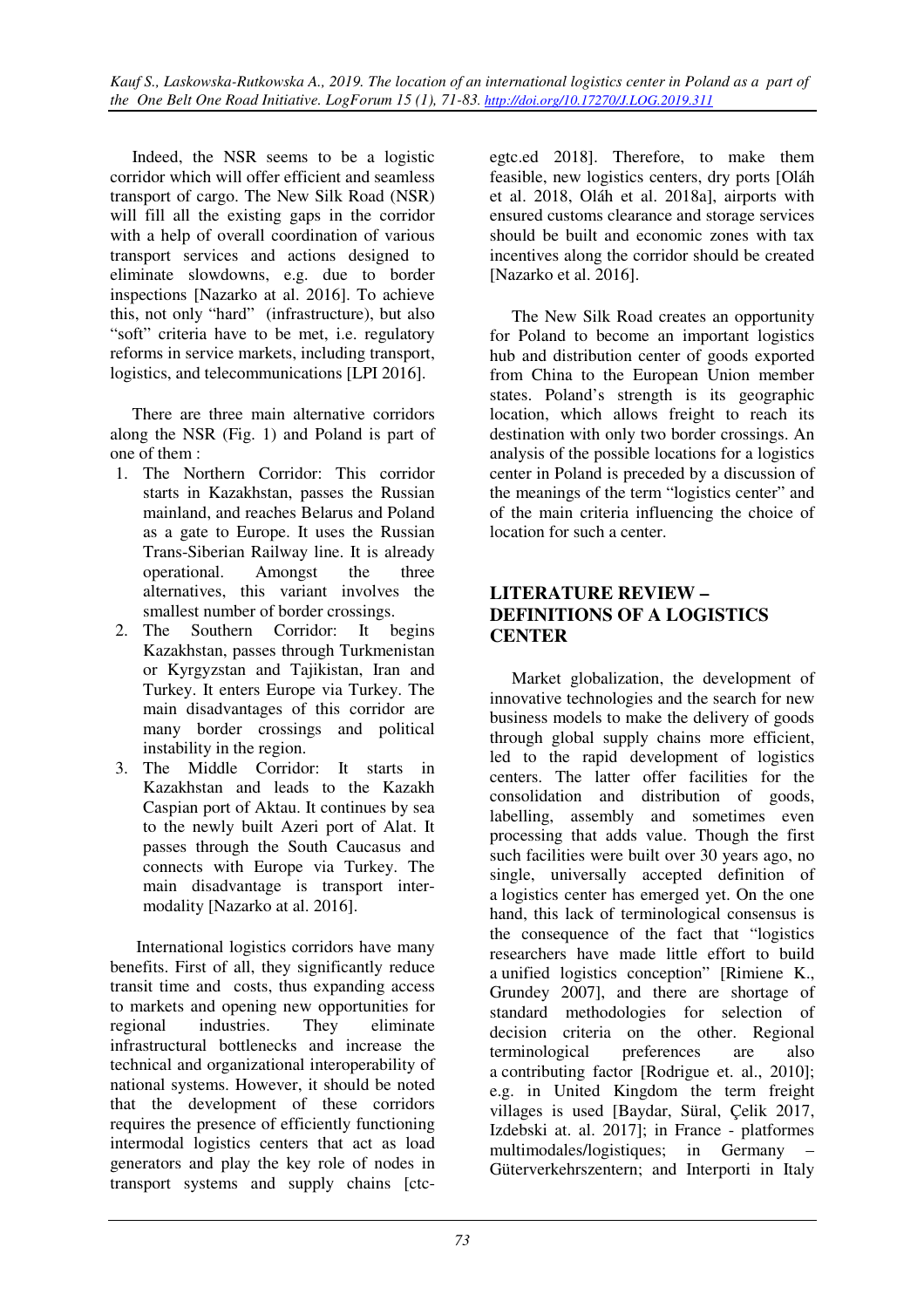Indeed, the NSR seems to be a logistic corridor which will offer efficient and seamless transport of cargo. The New Silk Road (NSR) will fill all the existing gaps in the corridor with a help of overall coordination of various transport services and actions designed to eliminate slowdowns, e.g. due to border inspections [Nazarko at al. 2016]. To achieve this, not only "hard" (infrastructure), but also "soft" criteria have to be met, i.e. regulatory reforms in service markets, including transport, logistics, and telecommunications [LPI 2016].

There are three main alternative corridors along the NSR (Fig. 1) and Poland is part of one of them :

- 1. The Northern Corridor: This corridor starts in Kazakhstan, passes the Russian mainland, and reaches Belarus and Poland as a gate to Europe. It uses the Russian Trans-Siberian Railway line. It is already operational. Amongst the three alternatives, this variant involves the smallest number of border crossings.
- 2. The Southern Corridor: It begins Kazakhstan, passes through Turkmenistan or Kyrgyzstan and Tajikistan, Iran and Turkey. It enters Europe via Turkey. The main disadvantages of this corridor are many border crossings and political instability in the region.
- 3. The Middle Corridor: It starts in Kazakhstan and leads to the Kazakh Caspian port of Aktau. It continues by sea to the newly built Azeri port of Alat. It passes through the South Caucasus and connects with Europe via Turkey. The main disadvantage is transport intermodality [Nazarko at al. 2016].

 International logistics corridors have many benefits. First of all, they significantly reduce transit time and costs, thus expanding access to markets and opening new opportunities for regional industries. They eliminate infrastructural bottlenecks and increase the technical and organizational interoperability of national systems. However, it should be noted that the development of these corridors requires the presence of efficiently functioning intermodal logistics centers that act as load generators and play the key role of nodes in transport systems and supply chains [ctcegtc.ed 2018]. Therefore, to make them feasible, new logistics centers, dry ports [Oláh et al. 2018, Oláh et al. 2018a], airports with ensured customs clearance and storage services should be built and economic zones with tax incentives along the corridor should be created [Nazarko et al. 2016].

The New Silk Road creates an opportunity for Poland to become an important logistics hub and distribution center of goods exported from China to the European Union member states. Poland's strength is its geographic location, which allows freight to reach its destination with only two border crossings. An analysis of the possible locations for a logistics center in Poland is preceded by a discussion of the meanings of the term "logistics center" and of the main criteria influencing the choice of location for such a center.

### **LITERATURE REVIEW – DEFINITIONS OF A LOGISTICS CENTER**

Market globalization, the development of innovative technologies and the search for new business models to make the delivery of goods through global supply chains more efficient, led to the rapid development of logistics centers. The latter offer facilities for the consolidation and distribution of goods, labelling, assembly and sometimes even processing that adds value. Though the first such facilities were built over 30 years ago, no single, universally accepted definition of a logistics center has emerged yet. On the one hand, this lack of terminological consensus is the consequence of the fact that "logistics researchers have made little effort to build a unified logistics conception" [Rimiene K., Grundey 2007], and there are shortage of standard methodologies for selection of decision criteria on the other. Regional terminological preferences are also a contributing factor [Rodrigue et. al., 2010]; e.g. in United Kingdom the term freight villages is used [Baydar, Süral, Çelik 2017, Izdebski at. al. 2017]; in France - platformes multimodales/logistiques; in Germany – Güterverkehrszentern; and Interporti in Italy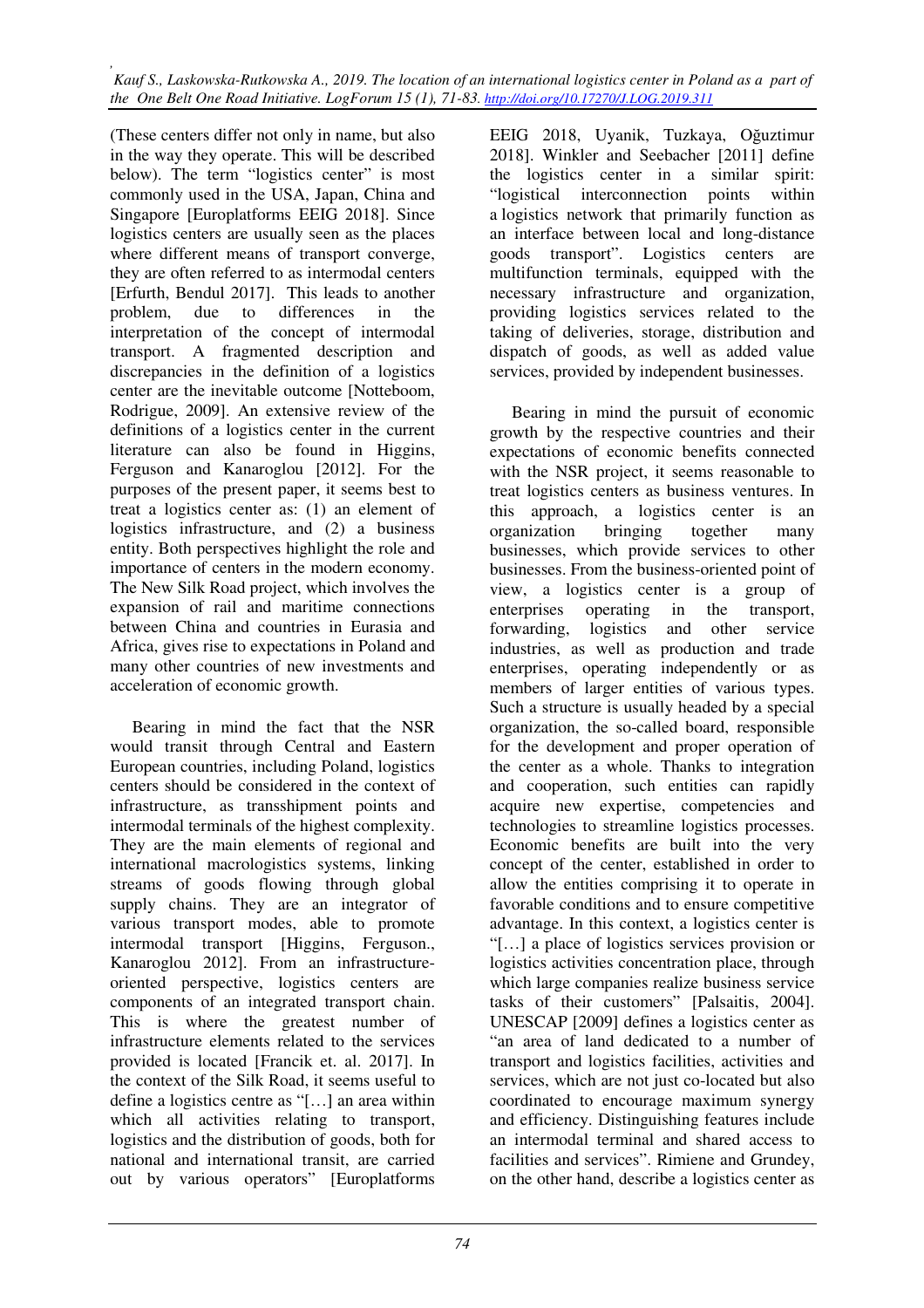(These centers differ not only in name, but also in the way they operate. This will be described below). The term "logistics center" is most commonly used in the USA, Japan, China and Singapore [Europlatforms EEIG 2018]. Since logistics centers are usually seen as the places where different means of transport converge, they are often referred to as intermodal centers [Erfurth, Bendul 2017]. This leads to another problem, due to differences in the interpretation of the concept of intermodal transport. A fragmented description and discrepancies in the definition of a logistics center are the inevitable outcome [Notteboom, Rodrigue, 2009]. An extensive review of the definitions of a logistics center in the current literature can also be found in Higgins, Ferguson and Kanaroglou [2012]. For the purposes of the present paper, it seems best to treat a logistics center as: (1) an element of logistics infrastructure, and (2) a business entity. Both perspectives highlight the role and importance of centers in the modern economy. The New Silk Road project, which involves the expansion of rail and maritime connections between China and countries in Eurasia and Africa, gives rise to expectations in Poland and many other countries of new investments and acceleration of economic growth.

Bearing in mind the fact that the NSR would transit through Central and Eastern European countries, including Poland, logistics centers should be considered in the context of infrastructure, as transshipment points and intermodal terminals of the highest complexity. They are the main elements of regional and international macrologistics systems, linking streams of goods flowing through global supply chains. They are an integrator of various transport modes, able to promote intermodal transport [Higgins, Ferguson., Kanaroglou 2012]. From an infrastructureoriented perspective, logistics centers are components of an integrated transport chain. This is where the greatest number of infrastructure elements related to the services provided is located [Francik et. al. 2017]. In the context of the Silk Road, it seems useful to define a logistics centre as "[…] an area within which all activities relating to transport, logistics and the distribution of goods, both for national and international transit, are carried out by various operators" [Europlatforms

EEIG 2018, Uyanik, Tuzkaya, Oğuztimur 2018]. Winkler and Seebacher [2011] define the logistics center in a similar spirit: "logistical interconnection points within a logistics network that primarily function as an interface between local and long-distance goods transport". Logistics centers are multifunction terminals, equipped with the necessary infrastructure and organization, providing logistics services related to the taking of deliveries, storage, distribution and dispatch of goods, as well as added value services, provided by independent businesses.

Bearing in mind the pursuit of economic growth by the respective countries and their expectations of economic benefits connected with the NSR project, it seems reasonable to treat logistics centers as business ventures. In this approach, a logistics center is an organization bringing together many businesses, which provide services to other businesses. From the business-oriented point of view, a logistics center is a group of enterprises operating in the transport, forwarding, logistics and other service industries, as well as production and trade enterprises, operating independently or as members of larger entities of various types. Such a structure is usually headed by a special organization, the so-called board, responsible for the development and proper operation of the center as a whole. Thanks to integration and cooperation, such entities can rapidly acquire new expertise, competencies and technologies to streamline logistics processes. Economic benefits are built into the very concept of the center, established in order to allow the entities comprising it to operate in favorable conditions and to ensure competitive advantage. In this context, a logistics center is "[…] a place of logistics services provision or logistics activities concentration place, through which large companies realize business service tasks of their customers" [Palsaitis, 2004]. UNESCAP [2009] defines a logistics center as "an area of land dedicated to a number of transport and logistics facilities, activities and services, which are not just co-located but also coordinated to encourage maximum synergy and efficiency. Distinguishing features include an intermodal terminal and shared access to facilities and services". Rimiene and Grundey, on the other hand, describe a logistics center as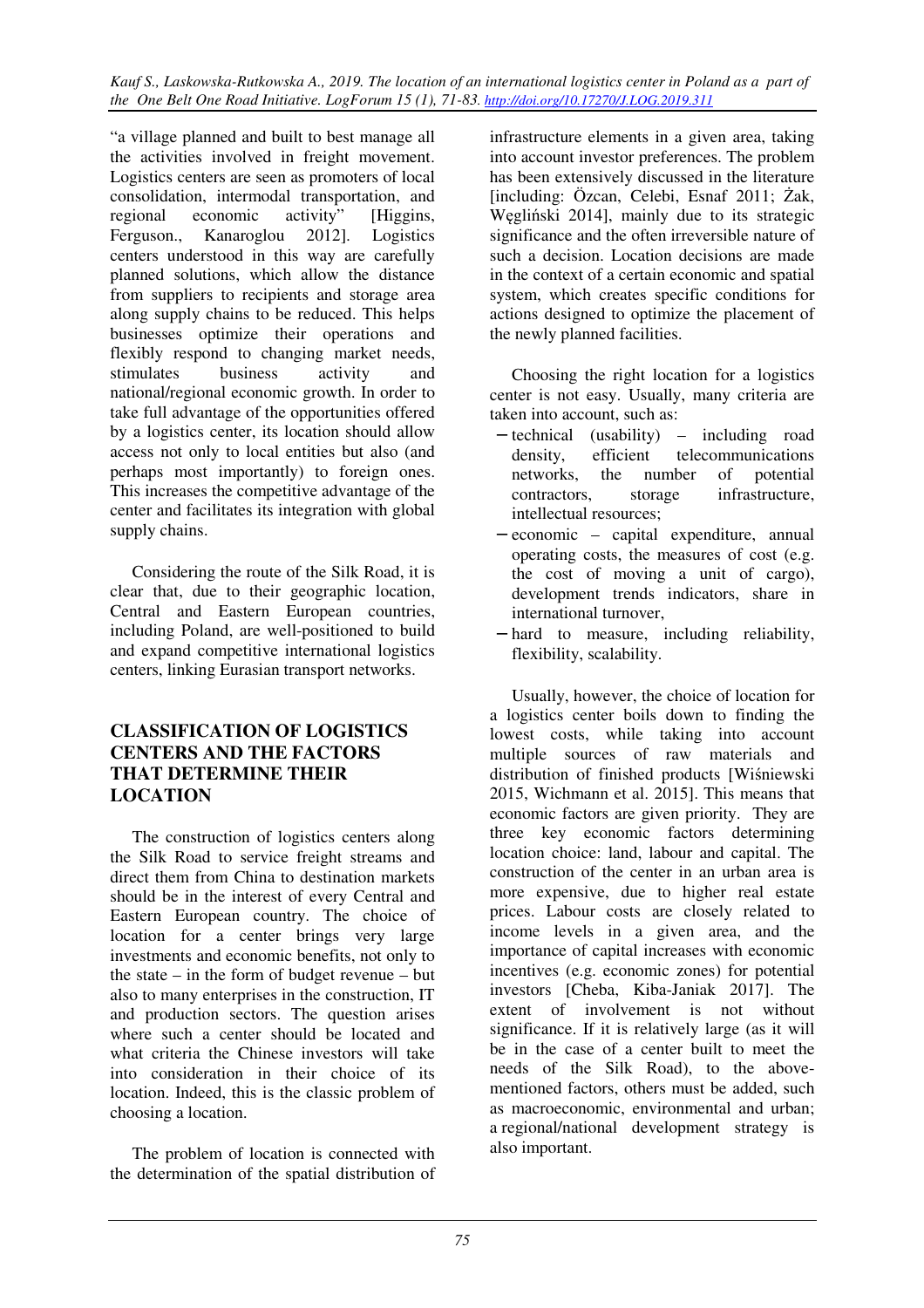"a village planned and built to best manage all the activities involved in freight movement. Logistics centers are seen as promoters of local consolidation, intermodal transportation, and regional economic activity" [Higgins, Ferguson., Kanaroglou 2012]. Logistics centers understood in this way are carefully planned solutions, which allow the distance from suppliers to recipients and storage area along supply chains to be reduced. This helps businesses optimize their operations and flexibly respond to changing market needs, stimulates business activity and national/regional economic growth. In order to take full advantage of the opportunities offered by a logistics center, its location should allow access not only to local entities but also (and perhaps most importantly) to foreign ones. This increases the competitive advantage of the center and facilitates its integration with global supply chains.

Considering the route of the Silk Road, it is clear that, due to their geographic location, Central and Eastern European countries, including Poland, are well-positioned to build and expand competitive international logistics centers, linking Eurasian transport networks.

### **CLASSIFICATION OF LOGISTICS CENTERS AND THE FACTORS THAT DETERMINE THEIR LOCATION**

The construction of logistics centers along the Silk Road to service freight streams and direct them from China to destination markets should be in the interest of every Central and Eastern European country. The choice of location for a center brings very large investments and economic benefits, not only to the state – in the form of budget revenue – but also to many enterprises in the construction, IT and production sectors. The question arises where such a center should be located and what criteria the Chinese investors will take into consideration in their choice of its location. Indeed, this is the classic problem of choosing a location.

The problem of location is connected with the determination of the spatial distribution of infrastructure elements in a given area, taking into account investor preferences. The problem has been extensively discussed in the literature [including: Özcan, Celebi, Esnaf 2011; Żak, Węgliński 2014], mainly due to its strategic significance and the often irreversible nature of such a decision. Location decisions are made in the context of a certain economic and spatial system, which creates specific conditions for actions designed to optimize the placement of the newly planned facilities.

Choosing the right location for a logistics center is not easy. Usually, many criteria are taken into account, such as:

- − technical (usability) including road density, efficient telecommunications networks, the number of potential contractors, storage infrastructure, intellectual resources;
- − economic capital expenditure, annual operating costs, the measures of cost (e.g. the cost of moving a unit of cargo), development trends indicators, share in international turnover,
- − hard to measure, including reliability, flexibility, scalability.

Usually, however, the choice of location for a logistics center boils down to finding the lowest costs, while taking into account multiple sources of raw materials and distribution of finished products [Wiśniewski 2015, Wichmann et al. 2015]. This means that economic factors are given priority. They are three key economic factors determining location choice: land, labour and capital. The construction of the center in an urban area is more expensive, due to higher real estate prices. Labour costs are closely related to income levels in a given area, and the importance of capital increases with economic incentives (e.g. economic zones) for potential investors [Cheba, Kiba-Janiak 2017]. The extent of involvement is not without significance. If it is relatively large (as it will be in the case of a center built to meet the needs of the Silk Road), to the abovementioned factors, others must be added, such as macroeconomic, environmental and urban; a regional/national development strategy is also important.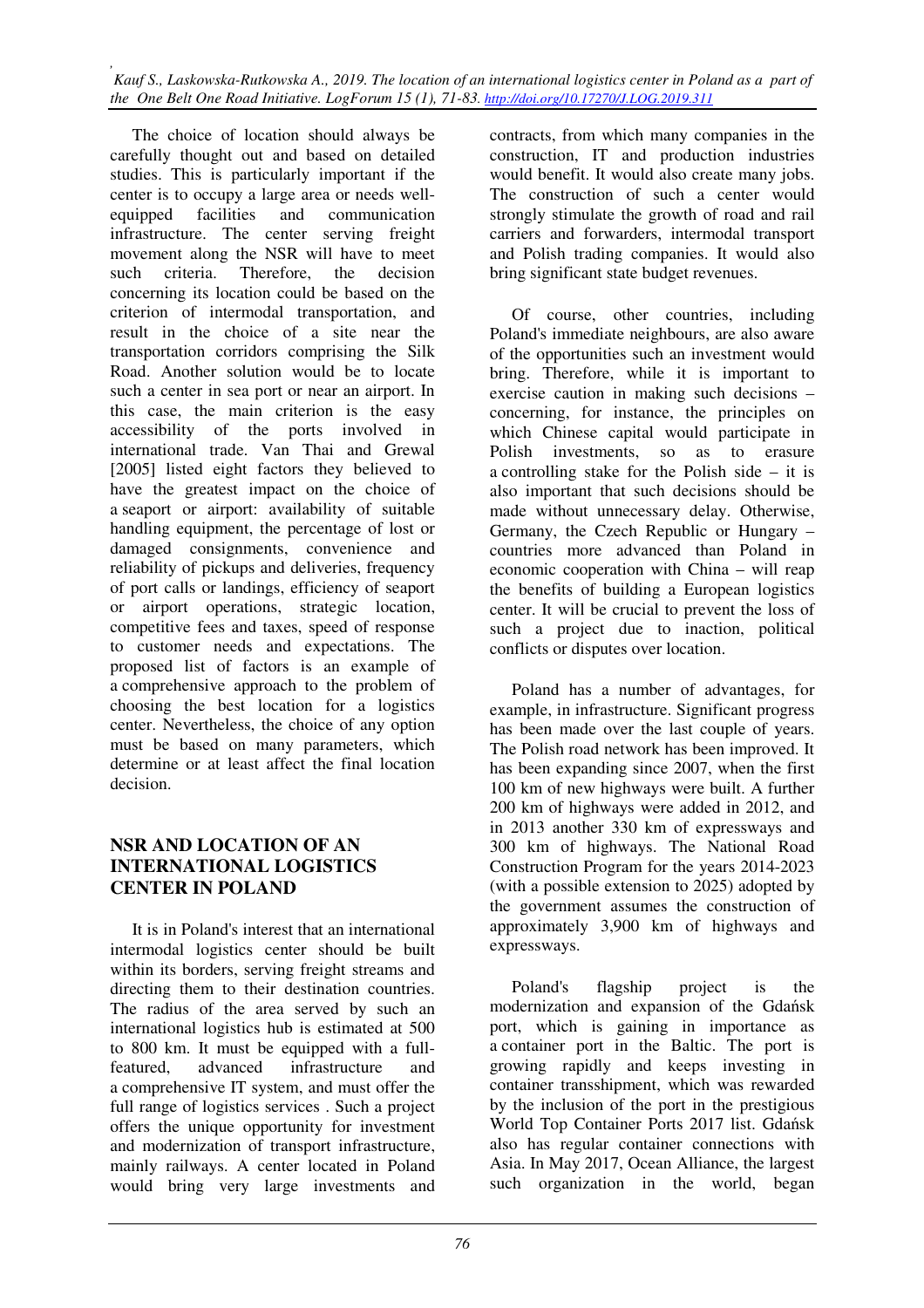The choice of location should always be carefully thought out and based on detailed studies. This is particularly important if the center is to occupy a large area or needs wellequipped facilities and communication infrastructure. The center serving freight movement along the NSR will have to meet such criteria. Therefore, the decision concerning its location could be based on the criterion of intermodal transportation, and result in the choice of a site near the transportation corridors comprising the Silk Road. Another solution would be to locate such a center in sea port or near an airport. In this case, the main criterion is the easy accessibility of the ports involved in international trade. Van Thai and Grewal [2005] listed eight factors they believed to have the greatest impact on the choice of a seaport or airport: availability of suitable handling equipment, the percentage of lost or damaged consignments, convenience and reliability of pickups and deliveries, frequency of port calls or landings, efficiency of seaport or airport operations, strategic location, competitive fees and taxes, speed of response to customer needs and expectations. The proposed list of factors is an example of a comprehensive approach to the problem of choosing the best location for a logistics center. Nevertheless, the choice of any option must be based on many parameters, which determine or at least affect the final location decision.

#### **NSR AND LOCATION OF AN INTERNATIONAL LOGISTICS CENTER IN POLAND**

It is in Poland's interest that an international intermodal logistics center should be built within its borders, serving freight streams and directing them to their destination countries. The radius of the area served by such an international logistics hub is estimated at 500 to 800 km. It must be equipped with a fullfeatured, advanced infrastructure and a comprehensive IT system, and must offer the full range of logistics services . Such a project offers the unique opportunity for investment and modernization of transport infrastructure, mainly railways. A center located in Poland would bring very large investments and

contracts, from which many companies in the construction, IT and production industries would benefit. It would also create many jobs. The construction of such a center would strongly stimulate the growth of road and rail carriers and forwarders, intermodal transport and Polish trading companies. It would also bring significant state budget revenues.

Of course, other countries, including Poland's immediate neighbours, are also aware of the opportunities such an investment would bring. Therefore, while it is important to exercise caution in making such decisions – concerning, for instance, the principles on which Chinese capital would participate in Polish investments, so as to erasure a controlling stake for the Polish side – it is also important that such decisions should be made without unnecessary delay. Otherwise, Germany, the Czech Republic or Hungary – countries more advanced than Poland in economic cooperation with China – will reap the benefits of building a European logistics center. It will be crucial to prevent the loss of such a project due to inaction, political conflicts or disputes over location.

Poland has a number of advantages, for example, in infrastructure. Significant progress has been made over the last couple of years. The Polish road network has been improved. It has been expanding since 2007, when the first 100 km of new highways were built. A further 200 km of highways were added in 2012, and in 2013 another 330 km of expressways and 300 km of highways. The National Road Construction Program for the years 2014-2023 (with a possible extension to 2025) adopted by the government assumes the construction of approximately 3,900 km of highways and expressways.

Poland's flagship project is the modernization and expansion of the Gdańsk port, which is gaining in importance as a container port in the Baltic. The port is growing rapidly and keeps investing in container transshipment, which was rewarded by the inclusion of the port in the prestigious World Top Container Ports 2017 list. Gdańsk also has regular container connections with Asia. In May 2017, Ocean Alliance, the largest such organization in the world, began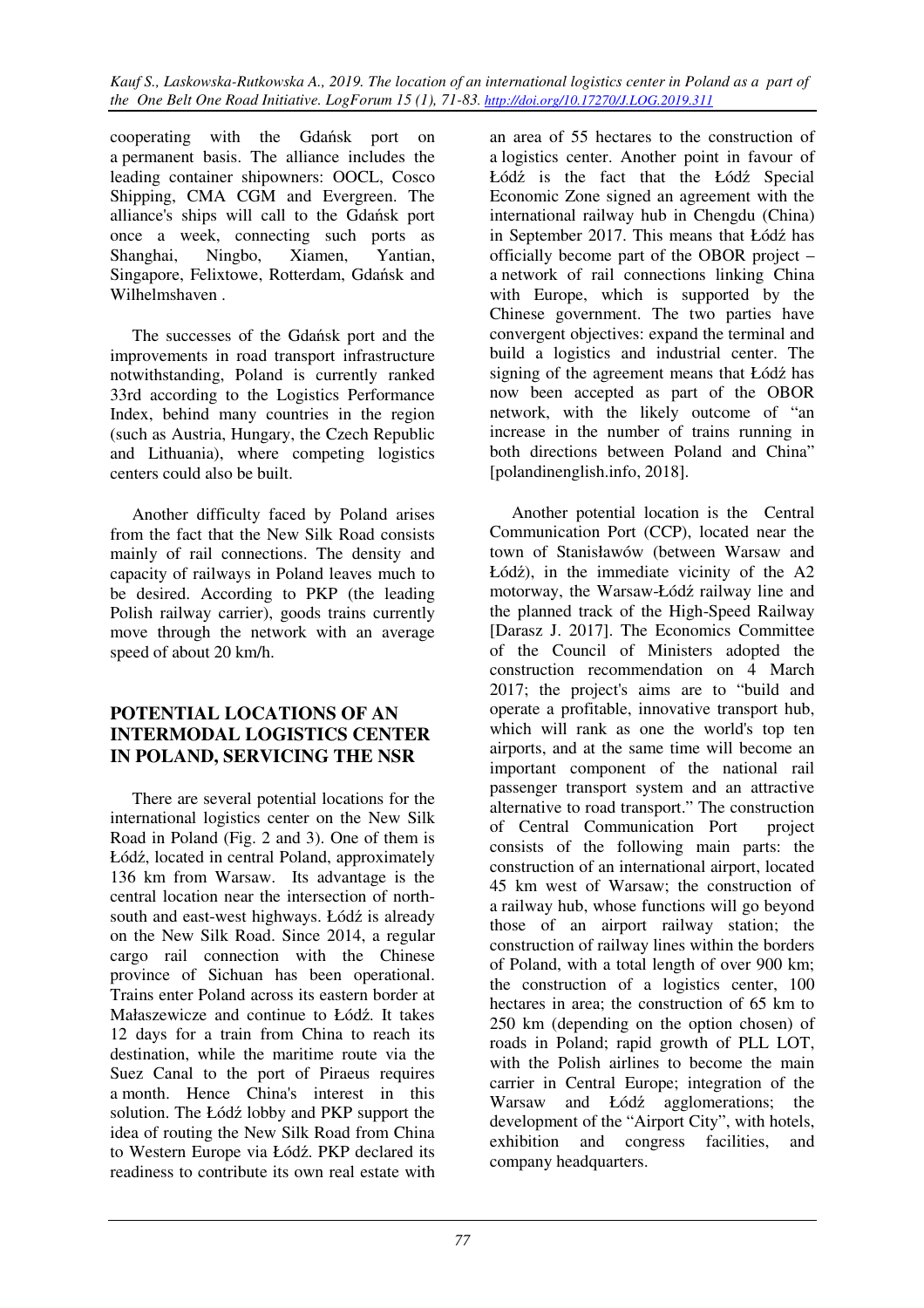cooperating with the Gdańsk port on a permanent basis. The alliance includes the leading container shipowners: OOCL, Cosco Shipping, CMA CGM and Evergreen. The alliance's ships will call to the Gdańsk port once a week, connecting such ports as<br>Shanghai, Ningbo, Xiamen, Yantian, Shanghai, Ningbo, Xiamen, Yantian, Singapore, Felixtowe, Rotterdam, Gdańsk and Wilhelmshaven .

The successes of the Gdańsk port and the improvements in road transport infrastructure notwithstanding, Poland is currently ranked 33rd according to the Logistics Performance Index, behind many countries in the region (such as Austria, Hungary, the Czech Republic and Lithuania), where competing logistics centers could also be built.

Another difficulty faced by Poland arises from the fact that the New Silk Road consists mainly of rail connections. The density and capacity of railways in Poland leaves much to be desired. According to PKP (the leading Polish railway carrier), goods trains currently move through the network with an average speed of about 20 km/h.

### **POTENTIAL LOCATIONS OF AN INTERMODAL LOGISTICS CENTER IN POLAND, SERVICING THE NSR**

There are several potential locations for the international logistics center on the New Silk Road in Poland (Fig. 2 and 3). One of them is Łódź, located in central Poland, approximately 136 km from Warsaw. Its advantage is the central location near the intersection of northsouth and east-west highways. Łódź is already on the New Silk Road. Since 2014, a regular cargo rail connection with the Chinese province of Sichuan has been operational. Trains enter Poland across its eastern border at Małaszewicze and continue to Łódź. It takes 12 days for a train from China to reach its destination, while the maritime route via the Suez Canal to the port of Piraeus requires a month. Hence China's interest in this solution. The Łódź lobby and PKP support the idea of routing the New Silk Road from China to Western Europe via Łódź. PKP declared its readiness to contribute its own real estate with

an area of 55 hectares to the construction of a logistics center. Another point in favour of Łódź is the fact that the Łódź Special Economic Zone signed an agreement with the international railway hub in Chengdu (China) in September 2017. This means that Łódź has officially become part of the OBOR project – a network of rail connections linking China with Europe, which is supported by the Chinese government. The two parties have convergent objectives: expand the terminal and build a logistics and industrial center. The signing of the agreement means that Łódź has now been accepted as part of the OBOR network, with the likely outcome of "an increase in the number of trains running in both directions between Poland and China" [polandinenglish.info, 2018].

Another potential location is the Central Communication Port (CCP), located near the town of Stanisławów (between Warsaw and Łódź), in the immediate vicinity of the A2 motorway, the Warsaw-Łódź railway line and the planned track of the High-Speed Railway [Darasz J. 2017]. The Economics Committee of the Council of Ministers adopted the construction recommendation on 4 March 2017; the project's aims are to "build and operate a profitable, innovative transport hub, which will rank as one the world's top ten airports, and at the same time will become an important component of the national rail passenger transport system and an attractive alternative to road transport." The construction of Central Communication Port project consists of the following main parts: the construction of an international airport, located 45 km west of Warsaw; the construction of a railway hub, whose functions will go beyond those of an airport railway station; the construction of railway lines within the borders of Poland, with a total length of over 900 km; the construction of a logistics center, 100 hectares in area; the construction of 65 km to 250 km (depending on the option chosen) of roads in Poland; rapid growth of PLL LOT, with the Polish airlines to become the main carrier in Central Europe; integration of the Warsaw and Łódź agglomerations; the development of the "Airport City", with hotels, exhibition and congress facilities, and company headquarters.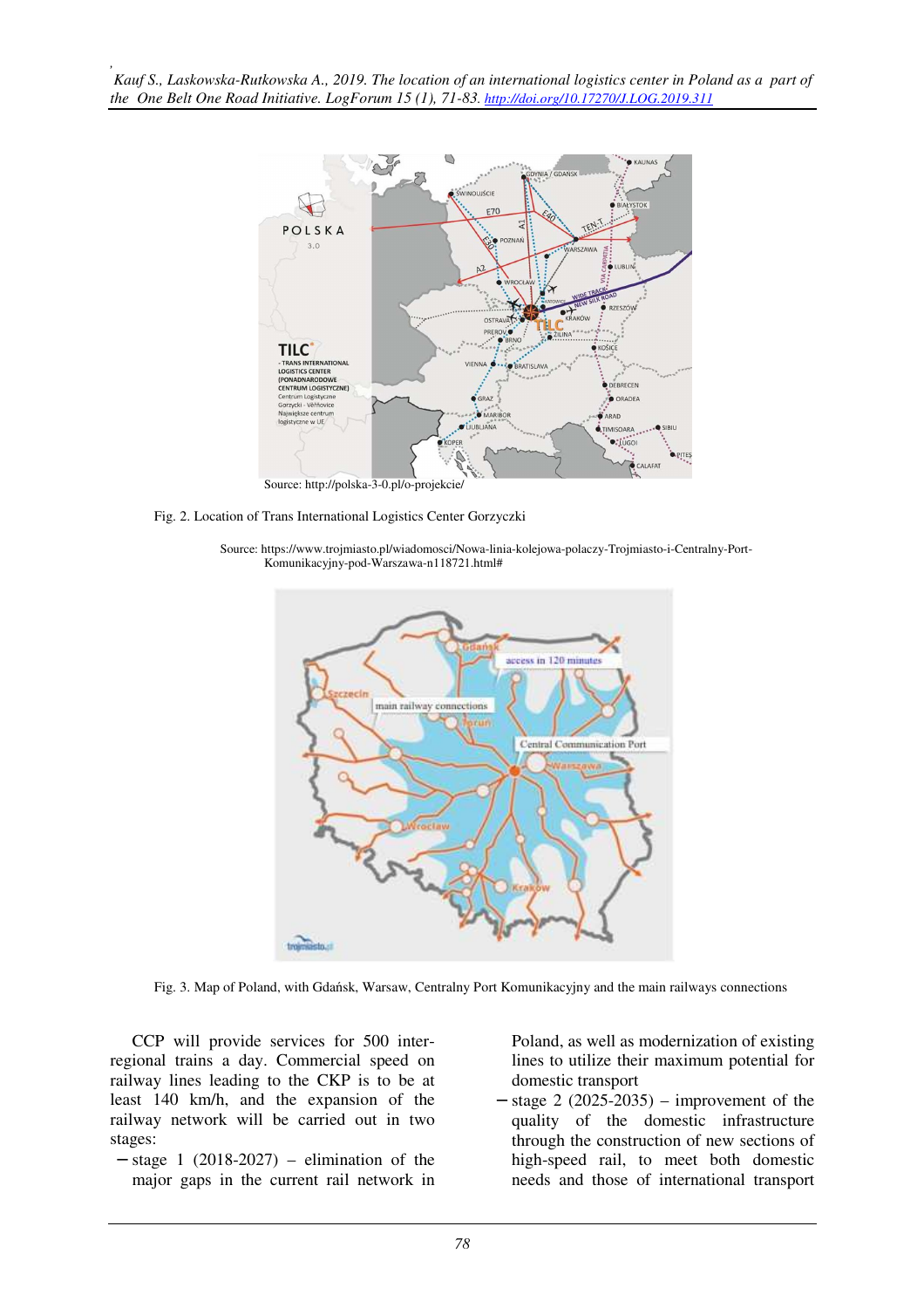

Fig. 2. Location of Trans International Logistics Center Gorzyczki

Source: https://www.trojmiasto.pl/wiadomosci/Nowa-linia-kolejowa-polaczy-Trojmiasto-i-Centralny-Port-Komunikacyjny-pod-Warszawa-n118721.html#



Fig. 3. Map of Poland, with Gdańsk, Warsaw, Centralny Port Komunikacyjny and the main railways connections

CCP will provide services for 500 interregional trains a day. Commercial speed on railway lines leading to the CKP is to be at least 140 km/h, and the expansion of the railway network will be carried out in two stages:

− stage 1 (2018-2027) – elimination of the major gaps in the current rail network in Poland, as well as modernization of existing lines to utilize their maximum potential for domestic transport

− stage 2 (2025-2035) – improvement of the quality of the domestic infrastructure through the construction of new sections of high-speed rail, to meet both domestic needs and those of international transport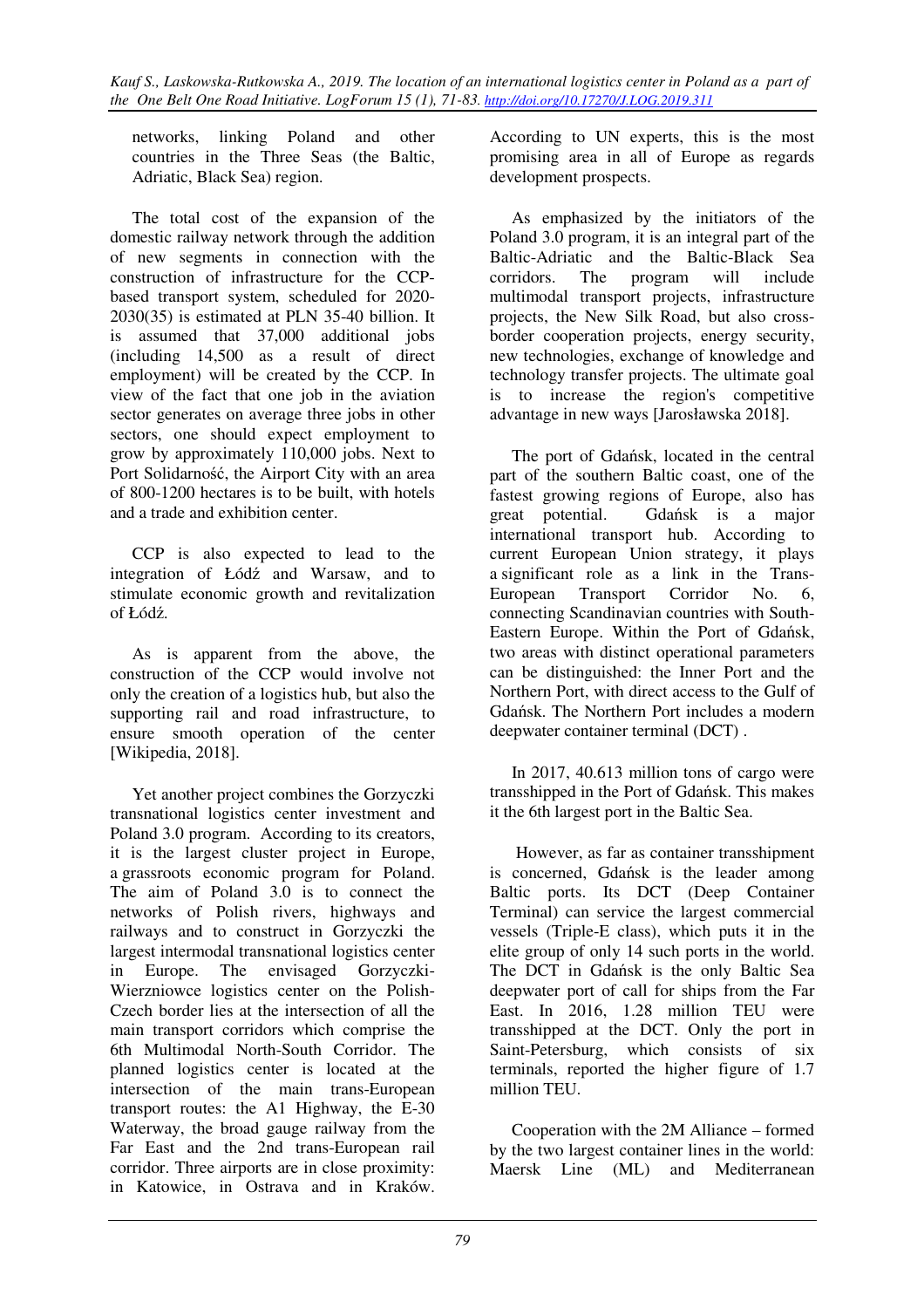networks, linking Poland and other countries in the Three Seas (the Baltic, Adriatic, Black Sea) region.

The total cost of the expansion of the domestic railway network through the addition of new segments in connection with the construction of infrastructure for the CCPbased transport system, scheduled for 2020- 2030(35) is estimated at PLN 35-40 billion. It is assumed that 37,000 additional jobs (including 14,500 as a result of direct employment) will be created by the CCP. In view of the fact that one job in the aviation sector generates on average three jobs in other sectors, one should expect employment to grow by approximately 110,000 jobs. Next to Port Solidarność, the Airport City with an area of 800-1200 hectares is to be built, with hotels and a trade and exhibition center.

CCP is also expected to lead to the integration of Łódź and Warsaw, and to stimulate economic growth and revitalization of Łódź.

As is apparent from the above, the construction of the CCP would involve not only the creation of a logistics hub, but also the supporting rail and road infrastructure, to ensure smooth operation of the center [Wikipedia, 2018].

Yet another project combines the Gorzyczki transnational logistics center investment and Poland 3.0 program. According to its creators, it is the largest cluster project in Europe, a grassroots economic program for Poland. The aim of Poland 3.0 is to connect the networks of Polish rivers, highways and railways and to construct in Gorzyczki the largest intermodal transnational logistics center in Europe. The envisaged Gorzyczki-Wierzniowce logistics center on the Polish-Czech border lies at the intersection of all the main transport corridors which comprise the 6th Multimodal North-South Corridor. The planned logistics center is located at the intersection of the main trans-European transport routes: the A1 Highway, the E-30 Waterway, the broad gauge railway from the Far East and the 2nd trans-European rail corridor. Three airports are in close proximity: in Katowice, in Ostrava and in Kraków.

According to UN experts, this is the most promising area in all of Europe as regards development prospects.

As emphasized by the initiators of the Poland 3.0 program, it is an integral part of the Baltic-Adriatic and the Baltic-Black Sea corridors. The program will include multimodal transport projects, infrastructure projects, the New Silk Road, but also crossborder cooperation projects, energy security, new technologies, exchange of knowledge and technology transfer projects. The ultimate goal is to increase the region's competitive advantage in new ways [Jarosławska 2018].

The port of Gdańsk, located in the central part of the southern Baltic coast, one of the fastest growing regions of Europe, also has great potential. Gdańsk is a major international transport hub. According to current European Union strategy, it plays a significant role as a link in the Trans-European Transport Corridor No. 6, connecting Scandinavian countries with South-Eastern Europe. Within the Port of Gdańsk, two areas with distinct operational parameters can be distinguished: the Inner Port and the Northern Port, with direct access to the Gulf of Gdańsk. The Northern Port includes a modern deepwater container terminal (DCT) .

In 2017, 40.613 million tons of cargo were transshipped in the Port of Gdańsk. This makes it the 6th largest port in the Baltic Sea.

 However, as far as container transshipment is concerned, Gdańsk is the leader among Baltic ports. Its DCT (Deep Container Terminal) can service the largest commercial vessels (Triple-E class), which puts it in the elite group of only 14 such ports in the world. The DCT in Gdańsk is the only Baltic Sea deepwater port of call for ships from the Far East. In 2016, 1.28 million TEU were transshipped at the DCT. Only the port in Saint-Petersburg, which consists of six terminals, reported the higher figure of 1.7 million TEU.

Cooperation with the 2M Alliance – formed by the two largest container lines in the world: Maersk Line (ML) and Mediterranean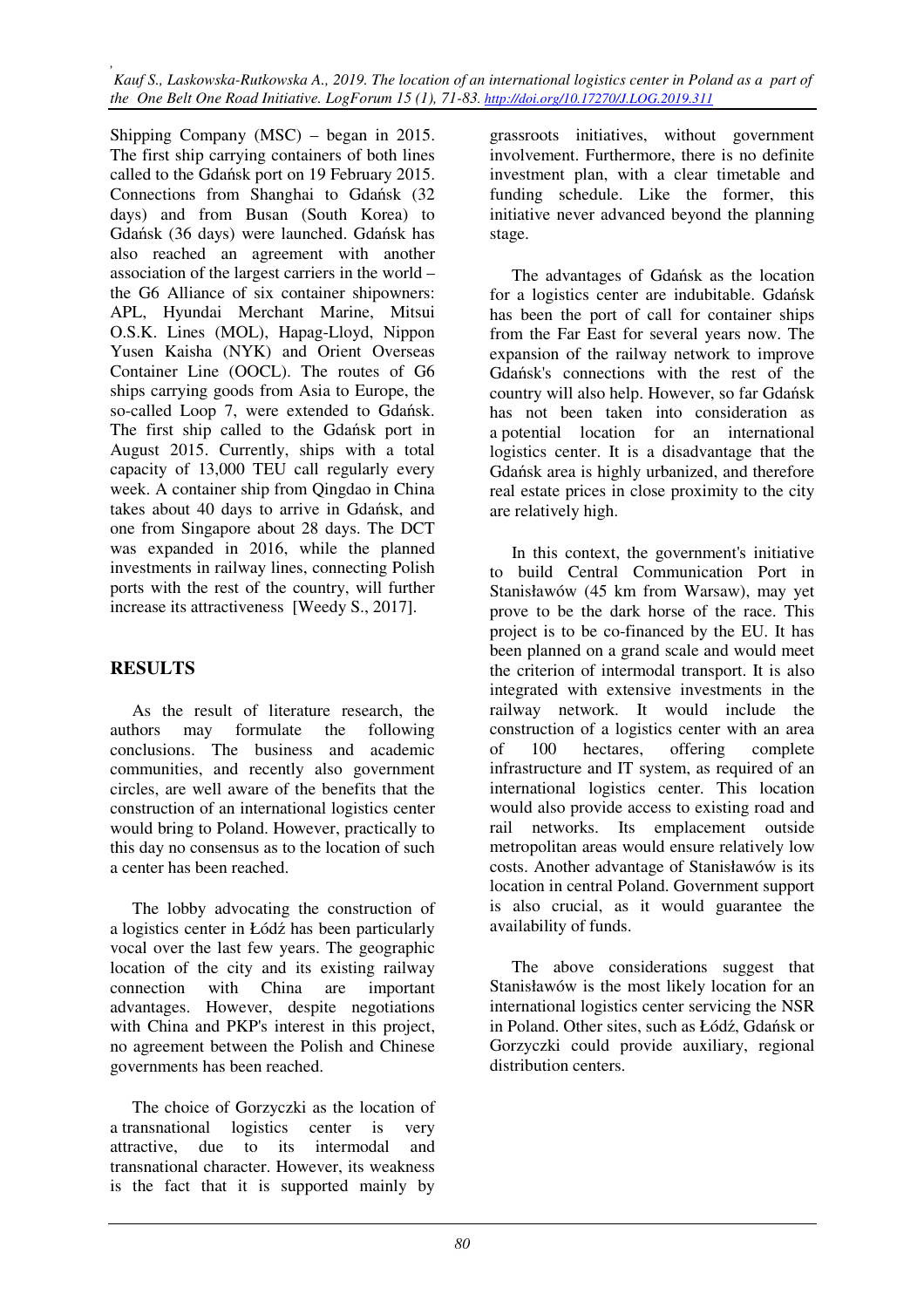Shipping Company (MSC) – began in 2015. The first ship carrying containers of both lines called to the Gdańsk port on 19 February 2015. Connections from Shanghai to Gdańsk (32 days) and from Busan (South Korea) to Gdańsk (36 days) were launched. Gdańsk has also reached an agreement with another association of the largest carriers in the world – the G6 Alliance of six container shipowners: APL, Hyundai Merchant Marine, Mitsui O.S.K. Lines (MOL), Hapag-Lloyd, Nippon Yusen Kaisha (NYK) and Orient Overseas Container Line (OOCL). The routes of G6 ships carrying goods from Asia to Europe, the so-called Loop 7, were extended to Gdańsk. The first ship called to the Gdańsk port in August 2015. Currently, ships with a total capacity of 13,000 TEU call regularly every week. A container ship from Qingdao in China takes about 40 days to arrive in Gdańsk, and one from Singapore about 28 days. The DCT was expanded in 2016, while the planned investments in railway lines, connecting Polish ports with the rest of the country, will further increase its attractiveness [Weedy S., 2017].

## **RESULTS**

As the result of literature research, the authors may formulate the following conclusions. The business and academic communities, and recently also government circles, are well aware of the benefits that the construction of an international logistics center would bring to Poland. However, practically to this day no consensus as to the location of such a center has been reached.

The lobby advocating the construction of a logistics center in Łódź has been particularly vocal over the last few years. The geographic location of the city and its existing railway connection with China are important advantages. However, despite negotiations with China and PKP's interest in this project, no agreement between the Polish and Chinese governments has been reached.

The choice of Gorzyczki as the location of a transnational logistics center is very attractive, due to its intermodal and transnational character. However, its weakness is the fact that it is supported mainly by grassroots initiatives, without government involvement. Furthermore, there is no definite investment plan, with a clear timetable and funding schedule. Like the former, this initiative never advanced beyond the planning stage.

The advantages of Gdańsk as the location for a logistics center are indubitable. Gdańsk has been the port of call for container ships from the Far East for several years now. The expansion of the railway network to improve Gdańsk's connections with the rest of the country will also help. However, so far Gdańsk has not been taken into consideration as a potential location for an international logistics center. It is a disadvantage that the Gdańsk area is highly urbanized, and therefore real estate prices in close proximity to the city are relatively high.

In this context, the government's initiative to build Central Communication Port in Stanisławów (45 km from Warsaw), may yet prove to be the dark horse of the race. This project is to be co-financed by the EU. It has been planned on a grand scale and would meet the criterion of intermodal transport. It is also integrated with extensive investments in the railway network. It would include the construction of a logistics center with an area of 100 hectares, offering complete infrastructure and IT system, as required of an international logistics center. This location would also provide access to existing road and rail networks. Its emplacement outside metropolitan areas would ensure relatively low costs. Another advantage of Stanisławów is its location in central Poland. Government support is also crucial, as it would guarantee the availability of funds.

The above considerations suggest that Stanisławów is the most likely location for an international logistics center servicing the NSR in Poland. Other sites, such as Łódź, Gdańsk or Gorzyczki could provide auxiliary, regional distribution centers.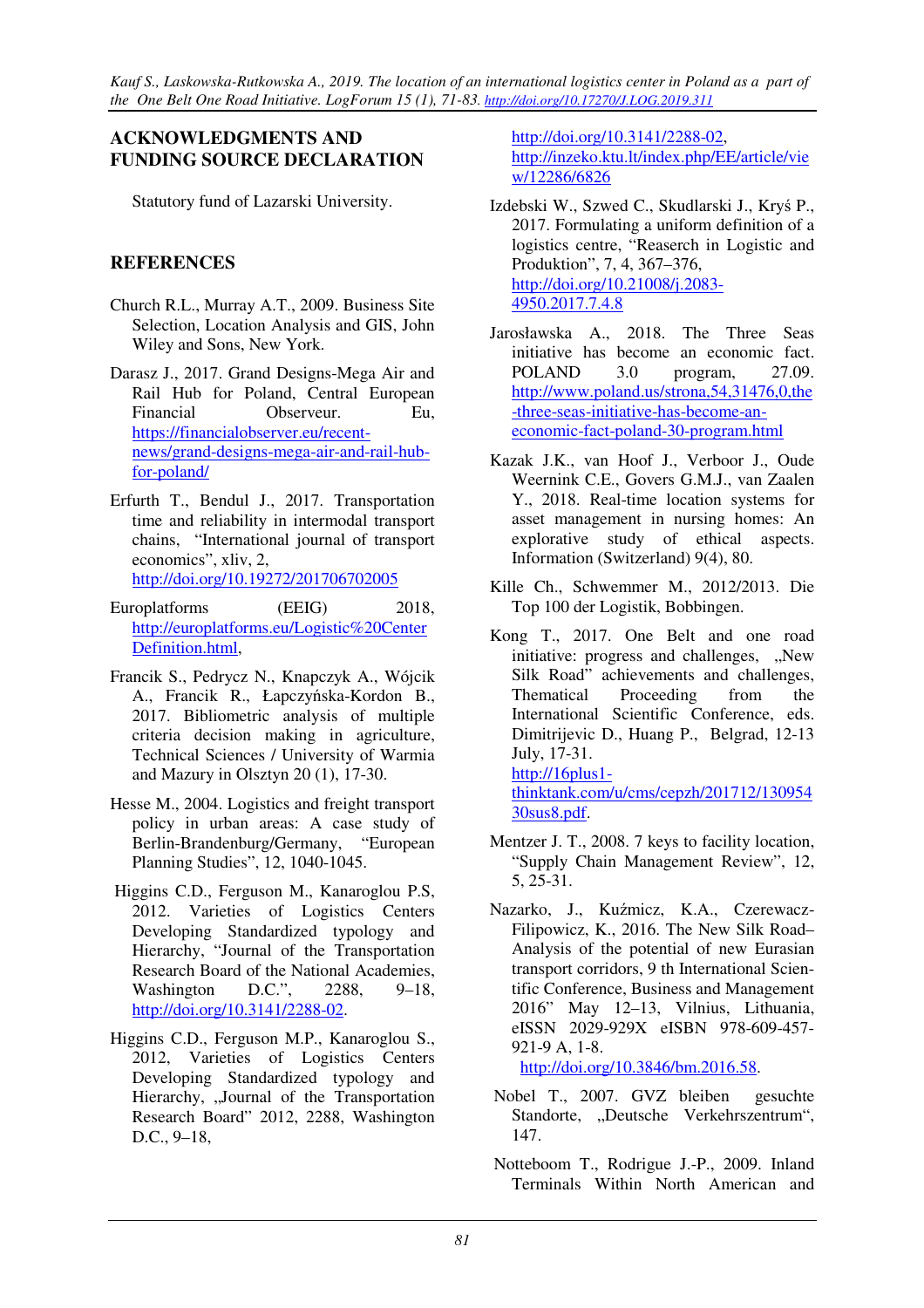## **ACKNOWLEDGMENTS AND FUNDING SOURCE DECLARATION**

Statutory fund of Lazarski University.

# **REFERENCES**

- Church R.L., Murray A.T., 2009. Business Site Selection, Location Analysis and GIS, John Wiley and Sons, New York.
- Darasz J., 2017. Grand Designs-Mega Air and Rail Hub for Poland, Central European Financial Observeur. Eu, https://financialobserver.eu/recentnews/grand-designs-mega-air-and-rail-hubfor-poland/
- Erfurth T., Bendul J., 2017. Transportation time and reliability in intermodal transport chains, "International journal of transport economics", xliv, 2, http://doi.org/10.19272/201706702005
- Europlatforms (EEIG) 2018, http://europlatforms.eu/Logistic%20Center Definition.html,
- Francik S., Pedrycz N., Knapczyk A., Wójcik A., Francik R., Łapczyńska-Kordon B., 2017. Bibliometric analysis of multiple criteria decision making in agriculture, Technical Sciences / University of Warmia and Mazury in Olsztyn 20 (1), 17-30.
- Hesse M., 2004. Logistics and freight transport policy in urban areas: A case study of Berlin-Brandenburg/Germany, "European Planning Studies", 12, 1040-1045.
- Higgins C.D., Ferguson M., Kanaroglou P.S, 2012. Varieties of Logistics Centers Developing Standardized typology and Hierarchy, "Journal of the Transportation Research Board of the National Academies, Washington D.C.", 2288, 9–18, http://doi.org/10.3141/2288-02.
- Higgins C.D., Ferguson M.P., Kanaroglou S., 2012, Varieties of Logistics Centers Developing Standardized typology and Hierarchy, "Journal of the Transportation Research Board" 2012, 2288, Washington D.C., 9–18,

http://doi.org/10.3141/2288-02, http://inzeko.ktu.lt/index.php/EE/article/vie w/12286/6826

- Izdebski W., Szwed C., Skudlarski J., Kryś P., 2017. Formulating a uniform definition of a logistics centre, "Reaserch in Logistic and Produktion", 7, 4, 367–376, http://doi.org/10.21008/j.2083- 4950.2017.7.4.8
- Jarosławska A., 2018. The Three Seas initiative has become an economic fact. POLAND 3.0 program, 27.09. http://www.poland.us/strona,54,31476,0,the -three-seas-initiative-has-become-aneconomic-fact-poland-30-program.html
- Kazak J.K., van Hoof J., Verboor J., Oude Weernink C.E., Govers G.M.J., van Zaalen Y., 2018. Real-time location systems for asset management in nursing homes: An explorative study of ethical aspects. Information (Switzerland) 9(4), 80.
- Kille Ch., Schwemmer M., 2012/2013. Die Top 100 der Logistik, Bobbingen.
- Kong T., 2017. One Belt and one road initiative: progress and challenges, "New Silk Road" achievements and challenges, Thematical Proceeding from the International Scientific Conference, eds. Dimitrijevic D., Huang P., Belgrad, 12-13 July, 17-31. http://16plus1-

thinktank.com/u/cms/cepzh/201712/130954 30sus8.pdf.

- Mentzer J. T., 2008. 7 keys to facility location, "Supply Chain Management Review", 12, 5, 25-31.
- Nazarko, J., Kuźmicz, K.A., Czerewacz-Filipowicz, K., 2016. The New Silk Road– Analysis of the potential of new Eurasian transport corridors, 9 th International Scientific Conference, Business and Management 2016" May 12–13, Vilnius, Lithuania, eISSN 2029-929X eISBN 978-609-457- 921-9 A, 1-8.

http://doi.org/10.3846/bm.2016.58.

- Nobel T., 2007. GVZ bleiben gesuchte Standorte, "Deutsche Verkehrszentrum", 147.
- Notteboom T., Rodrigue J.-P., 2009. Inland Terminals Within North American and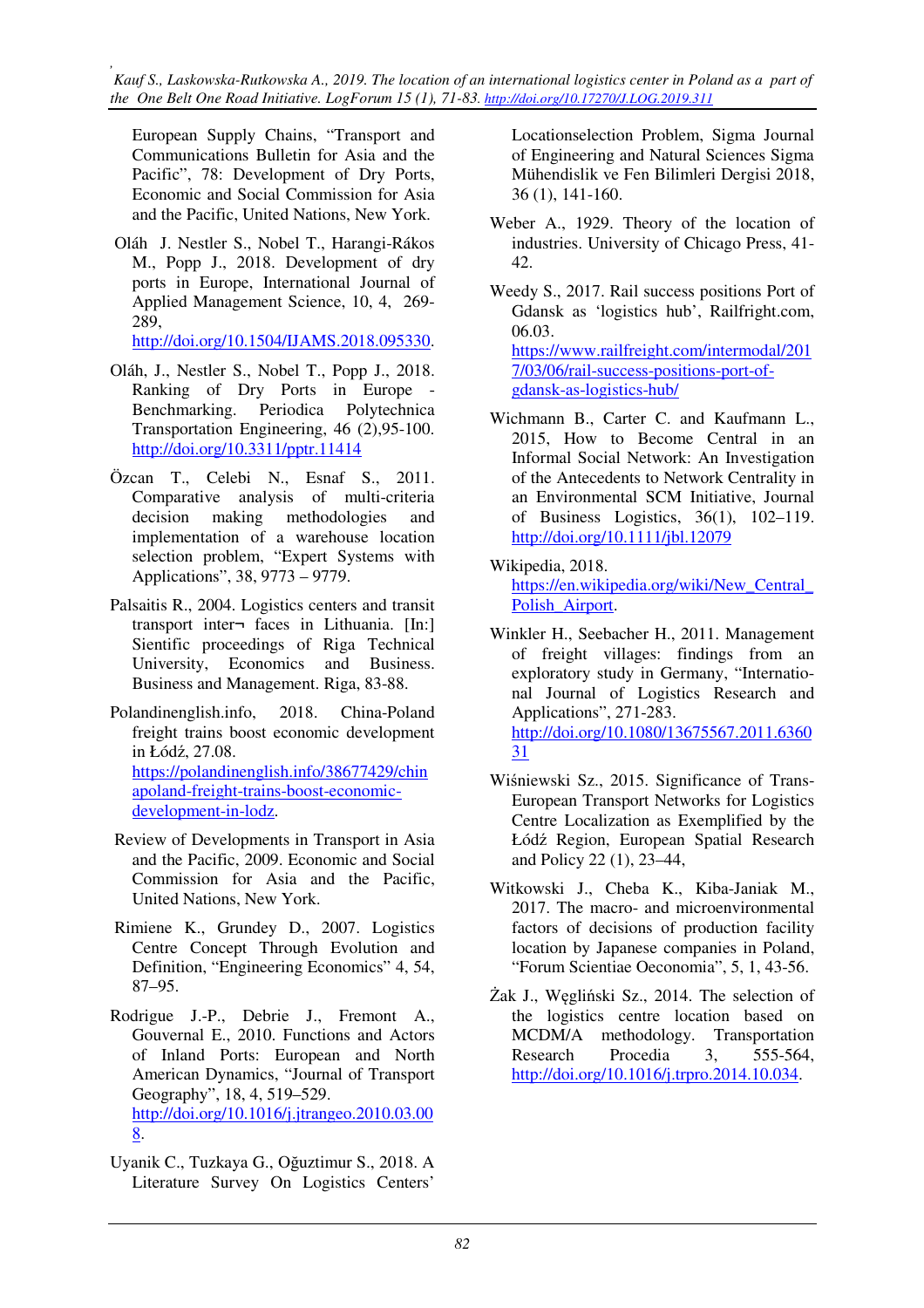European Supply Chains, "Transport and Communications Bulletin for Asia and the Pacific", 78: Development of Dry Ports, Economic and Social Commission for Asia and the Pacific, United Nations, New York.

 Oláh J. Nestler S., Nobel T., Harangi-Rákos M., Popp J., 2018. Development of dry ports in Europe, International Journal of Applied Management Science, 10, 4, 269- 289,

http://doi.org/10.1504/IJAMS.2018.095330.

- Oláh, J., Nestler S., Nobel T., Popp J., 2018. Ranking of Dry Ports in Europe - Benchmarking. Periodica Polytechnica Transportation Engineering, 46 (2),95-100. http://doi.org/10.3311/pptr.11414
- Özcan T., Celebi N., Esnaf S., 2011. Comparative analysis of multi-criteria decision making methodologies and implementation of a warehouse location selection problem, "Expert Systems with Applications", 38, 9773 – 9779.
- Palsaitis R., 2004. Logistics centers and transit transport inter¬ faces in Lithuania. [In:] Sientific proceedings of Riga Technical University, Economics and Business. Business and Management. Riga, 83-88.
- Polandinenglish.info, 2018. China-Poland freight trains boost economic development in Łódź, 27.08. https://polandinenglish.info/38677429/chin apoland-freight-trains-boost-economicdevelopment-in-lodz.
- Review of Developments in Transport in Asia and the Pacific, 2009. Economic and Social Commission for Asia and the Pacific, United Nations, New York.
- Rimiene K., Grundey D., 2007. Logistics Centre Concept Through Evolution and Definition, "Engineering Economics" 4, 54, 87–95.
- Rodrigue J.-P., Debrie J., Fremont A., Gouvernal E., 2010. Functions and Actors of Inland Ports: European and North American Dynamics, "Journal of Transport Geography", 18, 4, 519–529. http://doi.org/10.1016/j.jtrangeo.2010.03.00 8.
- Uyanik C., Tuzkaya G., Oğuztimur S., 2018. A Literature Survey On Logistics Centers'

Locationselection Problem, Sigma Journal of Engineering and Natural Sciences Sigma Mühendislik ve Fen Bilimleri Dergisi 2018, 36 (1), 141-160.

- Weber A., 1929. Theory of the location of industries. University of Chicago Press, 41- 42.
- Weedy S., 2017. Rail success positions Port of Gdansk as 'logistics hub', Railfright.com, 06.03. https://www.railfreight.com/intermodal/201 7/03/06/rail-success-positions-port-of-

gdansk-as-logistics-hub/

- Wichmann B., Carter C. and Kaufmann L. 2015, How to Become Central in an Informal Social Network: An Investigation of the Antecedents to Network Centrality in an Environmental SCM Initiative, Journal of Business Logistics, 36(1), 102–119. http://doi.org/10.1111/jbl.12079
- Wikipedia, 2018. https://en.wikipedia.org/wiki/New\_Central\_ Polish\_Airport.
- Winkler H., Seebacher H., 2011. Management of freight villages: findings from an exploratory study in Germany, "International Journal of Logistics Research and Applications", 271-283. http://doi.org/10.1080/13675567.2011.6360 31
- Wiśniewski Sz., 2015. Significance of Trans-European Transport Networks for Logistics Centre Localization as Exemplified by the Łódź Region, European Spatial Research and Policy 22 (1), 23–44,
- Witkowski J., Cheba K., Kiba-Janiak M., 2017. The macro- and microenvironmental factors of decisions of production facility location by Japanese companies in Poland, "Forum Scientiae Oeconomia", 5, 1, 43-56.
- Żak J., Węgliński Sz., 2014. The selection of the logistics centre location based on MCDM/A methodology. Transportation Research Procedia 3, 555-564, http://doi.org/10.1016/j.trpro.2014.10.034.